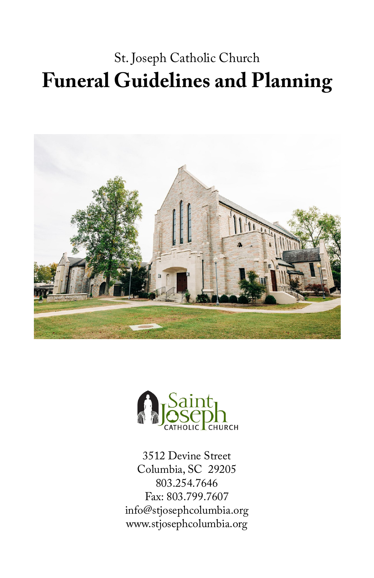# St. Joseph Catholic Church **Funeral Guidelines and Planning**





3512 Devine Street Columbia, SC 29205 803.254.7646 Fax: 803.799.7607 info@stjosephcolumbia.org www.stjosephcolumbia.org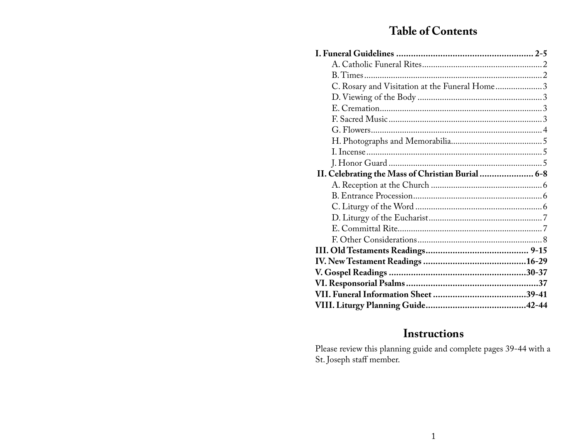# **Table of Contents**

| C. Rosary and Visitation at the Funeral Home3     |  |
|---------------------------------------------------|--|
|                                                   |  |
|                                                   |  |
|                                                   |  |
|                                                   |  |
|                                                   |  |
|                                                   |  |
|                                                   |  |
| II. Celebrating the Mass of Christian Burial  6-8 |  |
|                                                   |  |
|                                                   |  |
|                                                   |  |
|                                                   |  |
|                                                   |  |
|                                                   |  |
|                                                   |  |
|                                                   |  |
|                                                   |  |
|                                                   |  |
|                                                   |  |
|                                                   |  |
|                                                   |  |

# **Instructions**

Please review this planning guide and complete pages 39-44 with a St. Joseph staff member.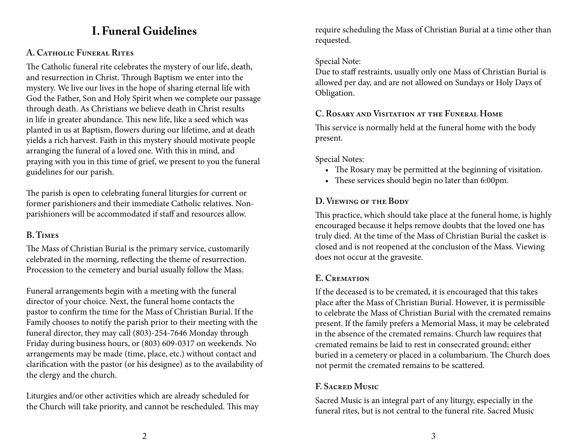# **I. Funeral Guidelines**

### **A. Catholic Funeral Rites**

The Catholic funeral rite celebrates the mystery of our life, death, and resurrection in Christ. Through Baptism we enter into the mystery. We live our lives in the hope of sharing eternal life with God the Father, Son and Holy Spirit when we complete our passage through death. As Christians we believe death in Christ results in life in greater abundance. This new life, like a seed which was planted in us at Baptism, flowers during our lifetime, and at death yields a rich harvest. Faith in this mystery should motivate people arranging the funeral of a loved one. With this in mind, and praying with you in this time of grief, we present to you the funeral guidelines for our parish.

The parish is open to celebrating funeral liturgies for current or former parishioners and their immediate Catholic relatives. Nonparishioners will be accommodated if staff and resources allow.

### **B. Times**

The Mass of Christian Burial is the primary service, customarily celebrated in the morning, reflecting the theme of resurrection. Procession to the cemetery and burial usually follow the Mass.

Funeral arrangements begin with a meeting with the funeral director of your choice. Next, the funeral home contacts the pastor to confirm the time for the Mass of Christian Burial. If the Family chooses to notify the parish prior to their meeting with the funeral director, they may call (803)-254-7646 Monday through Friday during business hours, or (803) 609-0317 on weekends. No arrangements may be made (time, place, etc.) without contact and clarification with the pastor (or his designee) as to the availability of the clergy and the church.

Liturgies and/or other activities which are already scheduled for the Church will take priority, and cannot be rescheduled. This may

require scheduling the Mass of Christian Burial at a time other than requested.

#### Special Note:

Due to staff restraints, usually only one Mass of Christian Burial is allowed per day, and are not allowed on Sundays or Holy Days of Obligation.

### **C. Rosary and Visitation at the Funeral Home**

This service is normally held at the funeral home with the body present.

Special Notes:

- The Rosary may be permitted at the beginning of visitation.
- These services should begin no later than 6:00pm.

### **D. Viewing of the Body**

This practice, which should take place at the funeral home, is highly encouraged because it helps remove doubts that the loved one has truly died. At the time of the Mass of Christian Burial the casket is closed and is not reopened at the conclusion of the Mass. Viewing does not occur at the gravesite.

### **E. Cremation**

If the deceased is to be cremated, it is encouraged that this takes place after the Mass of Christian Burial. However, it is permissible to celebrate the Mass of Christian Burial with the cremated remains present. If the family prefers a Memorial Mass, it may be celebrated in the absence of the cremated remains. Church law requires that cremated remains be laid to rest in consecrated ground; either buried in a cemetery or placed in a columbarium. The Church does not permit the cremated remains to be scattered.

### **F. Sacred Music**

Sacred Music is an integral part of any liturgy, especially in the funeral rites, but is not central to the funeral rite. Sacred Music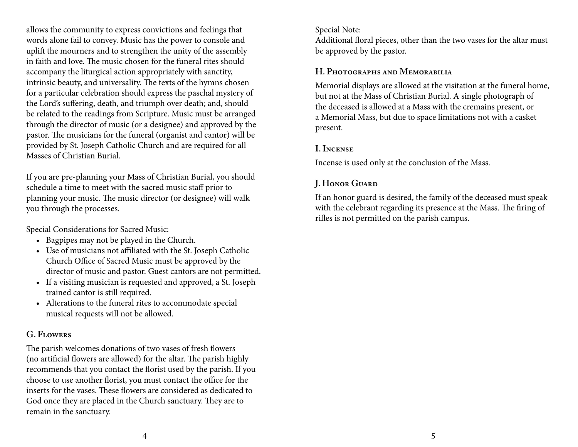allows the community to express convictions and feelings that words alone fail to convey. Music has the power to console and uplift the mourners and to strengthen the unity of the assembly in faith and love. The music chosen for the funeral rites should accompany the liturgical action appropriately with sanctity, intrinsic beauty, and universality. The texts of the hymns chosen for a particular celebration should express the paschal mystery of the Lord's suffering, death, and triumph over death; and, should be related to the readings from Scripture. Music must be arranged through the director of music (or a designee) and approved by the pastor. The musicians for the funeral (organist and cantor) will be provided by St. Joseph Catholic Church and are required for all Masses of Christian Burial.

If you are pre-planning your Mass of Christian Burial, you should schedule a time to meet with the sacred music staff prior to planning your music. The music director (or designee) will walk you through the processes.

Special Considerations for Sacred Music:

- Bagpipes may not be played in the Church.
- Use of musicians not affiliated with the St. Joseph Catholic Church Office of Sacred Music must be approved by the director of music and pastor. Guest cantors are not permitted.
- If a visiting musician is requested and approved, a St. Joseph trained cantor is still required.
- Alterations to the funeral rites to accommodate special musical requests will not be allowed.

#### **G. Flowers**

The parish welcomes donations of two vases of fresh flowers (no artificial flowers are allowed) for the altar. The parish highly recommends that you contact the florist used by the parish. If you choose to use another florist, you must contact the office for the inserts for the vases. These flowers are considered as dedicated to God once they are placed in the Church sanctuary. They are to remain in the sanctuary.

#### Special Note:

Additional floral pieces, other than the two vases for the altar must be approved by the pastor.

#### **H. Photographs and Memorabilia**

Memorial displays are allowed at the visitation at the funeral home, but not at the Mass of Christian Burial. A single photograph of the deceased is allowed at a Mass with the cremains present, or a Memorial Mass, but due to space limitations not with a casket present.

#### **I. Incense**

Incense is used only at the conclusion of the Mass.

### **J. Honor Guard**

If an honor guard is desired, the family of the deceased must speak with the celebrant regarding its presence at the Mass. The firing of rifles is not permitted on the parish campus.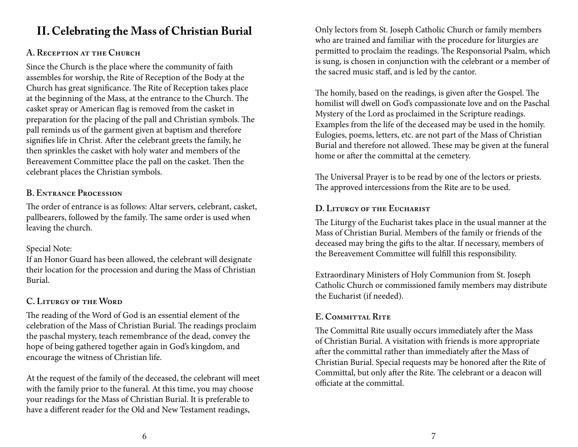# **II. Celebrating the Mass of Christian Burial**

#### **A. Reception at the Church**

Since the Church is the place where the community of faith assembles for worship, the Rite of Reception of the Body at the Church has great significance. The Rite of Reception takes place at the beginning of the Mass, at the entrance to the Church. The casket spray or American flag is removed from the casket in preparation for the placing of the pall and Christian symbols. The pall reminds us of the garment given at baptism and therefore signifies life in Christ. After the celebrant greets the family, he then sprinkles the casket with holy water and members of the Bereavement Committee place the pall on the casket. Then the celebrant places the Christian symbols.

### **B. Entrance Procession**

The order of entrance is as follows: Altar servers, celebrant, casket, pallbearers, followed by the family. The same order is used when leaving the church.

#### Special Note:

If an Honor Guard has been allowed, the celebrant will designate their location for the procession and during the Mass of Christian Burial.

#### **C. Liturgy of the Word**

The reading of the Word of God is an essential element of the celebration of the Mass of Christian Burial. The readings proclaim the paschal mystery, teach remembrance of the dead, convey the hope of being gathered together again in God's kingdom, and encourage the witness of Christian life.

At the request of the family of the deceased, the celebrant will meet with the family prior to the funeral. At this time, you may choose your readings for the Mass of Christian Burial. It is preferable to have a different reader for the Old and New Testament readings,

Only lectors from St. Joseph Catholic Church or family members who are trained and familiar with the procedure for liturgies are permitted to proclaim the readings. The Responsorial Psalm, which is sung, is chosen in conjunction with the celebrant or a member of the sacred music staff, and is led by the cantor.

The homily, based on the readings, is given after the Gospel. The homilist will dwell on God's compassionate love and on the Paschal Mystery of the Lord as proclaimed in the Scripture readings. Examples from the life of the deceased may be used in the homily. Eulogies, poems, letters, etc. are not part of the Mass of Christian Burial and therefore not allowed. These may be given at the funeral home or after the committal at the cemetery.

The Universal Prayer is to be read by one of the lectors or priests. The approved intercessions from the Rite are to be used.

### **D. Liturgy of the Eucharist**

The Liturgy of the Eucharist takes place in the usual manner at the Mass of Christian Burial. Members of the family or friends of the deceased may bring the gifts to the altar. If necessary, members of the Bereavement Committee will fulfill this responsibility.

Extraordinary Ministers of Holy Communion from St. Joseph Catholic Church or commissioned family members may distribute the Eucharist (if needed).

### **E. Committal Rite**

The Committal Rite usually occurs immediately after the Mass of Christian Burial. A visitation with friends is more appropriate after the committal rather than immediately after the Mass of Christian Burial. Special requests may be honored after the Rite of Committal, but only after the Rite. The celebrant or a deacon will officiate at the committal.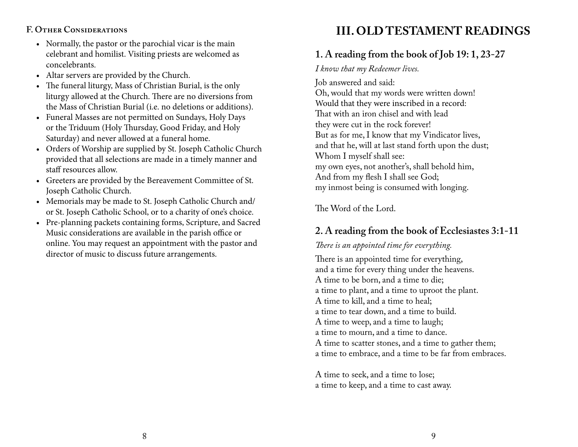### **F. Other Considerations**

- Normally, the pastor or the parochial vicar is the main celebrant and homilist. Visiting priests are welcomed as concelebrants.
- Altar servers are provided by the Church.
- The funeral liturgy, Mass of Christian Burial, is the only liturgy allowed at the Church. There are no diversions from the Mass of Christian Burial (i.e. no deletions or additions).
- Funeral Masses are not permitted on Sundays, Holy Days or the Triduum (Holy Thursday, Good Friday, and Holy Saturday) and never allowed at a funeral home.
- Orders of Worship are supplied by St. Joseph Catholic Church provided that all selections are made in a timely manner and staff resources allow.
- Greeters are provided by the Bereavement Committee of St. Joseph Catholic Church.
- Memorials may be made to St. Joseph Catholic Church and/ or St. Joseph Catholic School, or to a charity of one's choice.
- Pre-planning packets containing forms, Scripture, and Sacred Music considerations are available in the parish office or online. You may request an appointment with the pastor and director of music to discuss future arrangements.

# **III. OLD TESTAMENT READINGS**

# **1. A reading from the book of Job 19: 1, 23-27**

*I know that my Redeemer lives.*

Job answered and said: Oh, would that my words were written down! Would that they were inscribed in a record: That with an iron chisel and with lead they were cut in the rock forever! But as for me, I know that my Vindicator lives, and that he, will at last stand forth upon the dust; Whom I myself shall see: my own eyes, not another's, shall behold him, And from my flesh I shall see God; my inmost being is consumed with longing.

The Word of the Lord.

# **2. A reading from the book of Ecclesiastes 3:1-11**

### *There is an appointed time for everything.*

There is an appointed time for everything, and a time for every thing under the heavens. A time to be born, and a time to die; a time to plant, and a time to uproot the plant. A time to kill, and a time to heal; a time to tear down, and a time to build. A time to weep, and a time to laugh; a time to mourn, and a time to dance. A time to scatter stones, and a time to gather them; a time to embrace, and a time to be far from embraces.

A time to seek, and a time to lose; a time to keep, and a time to cast away.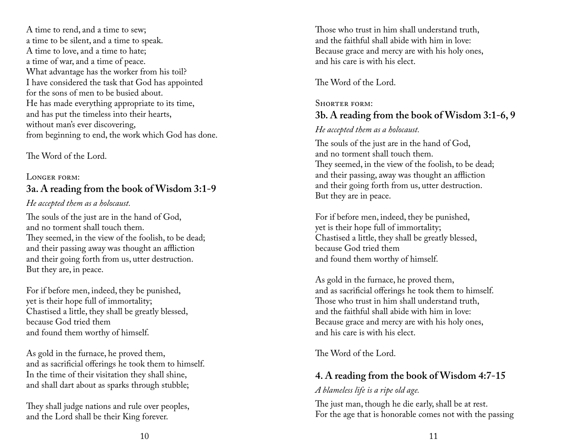A time to rend, and a time to sew; a time to be silent, and a time to speak. A time to love, and a time to hate; a time of war, and a time of peace. What advantage has the worker from his toil? I have considered the task that God has appointed for the sons of men to be busied about. He has made everything appropriate to its time, and has put the timeless into their hearts, without man's ever discovering, from beginning to end, the work which God has done.

The Word of the Lord.

### LONGER FORM: **3a. A reading from the book of Wisdom 3:1-9**

### *He accepted them as a holocaust.*

The souls of the just are in the hand of God, and no torment shall touch them. They seemed, in the view of the foolish, to be dead; and their passing away was thought an affliction and their going forth from us, utter destruction. But they are, in peace.

For if before men, indeed, they be punished, yet is their hope full of immortality; Chastised a little, they shall be greatly blessed, because God tried them and found them worthy of himself.

As gold in the furnace, he proved them, and as sacrificial offerings he took them to himself. In the time of their visitation they shall shine, and shall dart about as sparks through stubble;

They shall judge nations and rule over peoples, and the Lord shall be their King forever.

Those who trust in him shall understand truth, and the faithful shall abide with him in love: Because grace and mercy are with his holy ones, and his care is with his elect.

The Word of the Lord.

#### SHORTER FORM: **3b. A reading from the book of Wisdom 3:1-6, 9**

### *He accepted them as a holocaust.*

The souls of the just are in the hand of God, and no torment shall touch them. They seemed, in the view of the foolish, to be dead; and their passing, away was thought an affliction and their going forth from us, utter destruction. But they are in peace.

For if before men, indeed, they be punished, yet is their hope full of immortality; Chastised a little, they shall be greatly blessed, because God tried them and found them worthy of himself.

As gold in the furnace, he proved them, and as sacrificial offerings he took them to himself. Those who trust in him shall understand truth, and the faithful shall abide with him in love: Because grace and mercy are with his holy ones, and his care is with his elect.

The Word of the Lord.

# **4. A reading from the book of Wisdom 4:7-15** *A blameless life is a ripe old age.*

The just man, though he die early, shall be at rest. For the age that is honorable comes not with the passing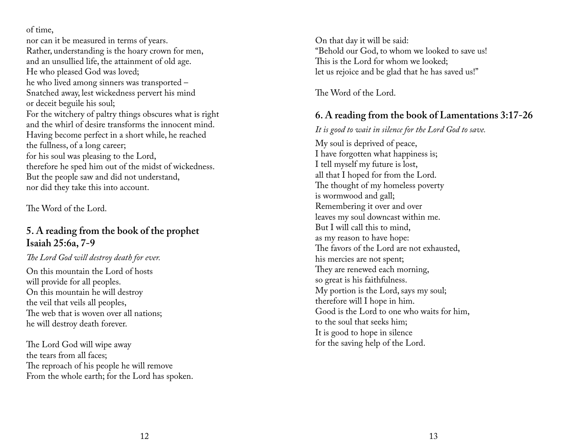of time,

nor can it be measured in terms of years. Rather, understanding is the hoary crown for men, and an unsullied life, the attainment of old age. He who pleased God was loved; he who lived among sinners was transported – Snatched away, lest wickedness pervert his mind or deceit beguile his soul; For the witchery of paltry things obscures what is right and the whirl of desire transforms the innocent mind. Having become perfect in a short while, he reached the fullness, of a long career; for his soul was pleasing to the Lord, therefore he sped him out of the midst of wickedness. But the people saw and did not understand, nor did they take this into account.

The Word of the Lord.

### **5. A reading from the book of the prophet Isaiah 25:6a, 7-9**

*The Lord God will destroy death for ever.*

On this mountain the Lord of hosts will provide for all peoples. On this mountain he will destroy the veil that veils all peoples, The web that is woven over all nations; he will destroy death forever.

The Lord God will wipe away the tears from all faces; The reproach of his people he will remove From the whole earth; for the Lord has spoken.

On that day it will be said: "Behold our God, to whom we looked to save us! This is the Lord for whom we looked; let us rejoice and be glad that he has saved us!"

The Word of the Lord.

## **6. A reading from the book of Lamentations 3:17-26**

*It is good to wait in silence for the Lord God to save.*

My soul is deprived of peace, I have forgotten what happiness is; I tell myself my future is lost, all that I hoped for from the Lord. The thought of my homeless poverty is wormwood and gall; Remembering it over and over leaves my soul downcast within me. But I will call this to mind, as my reason to have hope: The favors of the Lord are not exhausted, his mercies are not spent; They are renewed each morning, so great is his faithfulness. My portion is the Lord, says my soul; therefore will I hope in him. Good is the Lord to one who waits for him, to the soul that seeks him; It is good to hope in silence for the saving help of the Lord.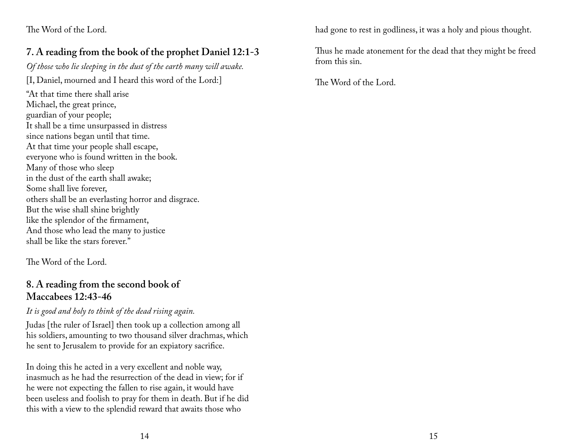The Word of the Lord.

## **7. A reading from the book of the prophet Daniel 12:1-3**

*Of those who lie sleeping in the dust of the earth many will awake.* [I, Daniel, mourned and I heard this word of the Lord:] "At that time there shall arise Michael, the great prince, guardian of your people; It shall be a time unsurpassed in distress since nations began until that time. At that time your people shall escape, everyone who is found written in the book. Many of those who sleep in the dust of the earth shall awake; Some shall live forever, others shall be an everlasting horror and disgrace. But the wise shall shine brightly like the splendor of the firmament, And those who lead the many to justice shall be like the stars forever."

The Word of the Lord.

### **8. A reading from the second book of Maccabees 12:43-46**

*It is good and holy to think of the dead rising again.*

Judas [the ruler of Israel] then took up a collection among all his soldiers, amounting to two thousand silver drachmas, which he sent to Jerusalem to provide for an expiatory sacrifice.

In doing this he acted in a very excellent and noble way, inasmuch as he had the resurrection of the dead in view; for if he were not expecting the fallen to rise again, it would have been useless and foolish to pray for them in death. But if he did this with a view to the splendid reward that awaits those who

had gone to rest in godliness, it was a holy and pious thought.

Thus he made atonement for the dead that they might be freed from this sin.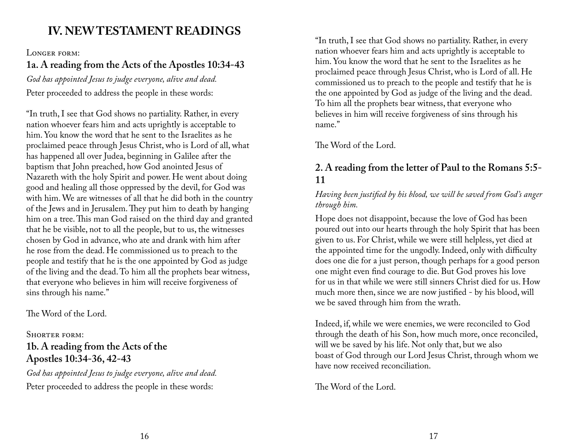# **IV. NEW TESTAMENT READINGS**

#### LONGER FORM:

# **1a. A reading from the Acts of the Apostles 10:34-43**

*God has appointed Jesus to judge everyone, alive and dead.* Peter proceeded to address the people in these words:

"In truth, I see that God shows no partiality. Rather, in every nation whoever fears him and acts uprightly is acceptable to him. You know the word that he sent to the Israelites as he proclaimed peace through Jesus Christ, who is Lord of all, what has happened all over Judea, beginning in Galilee after the baptism that John preached, how God anointed Jesus of Nazareth with the holy Spirit and power. He went about doing good and healing all those oppressed by the devil, for God was with him. We are witnesses of all that he did both in the country of the Jews and in Jerusalem. They put him to death by hanging him on a tree. This man God raised on the third day and granted that he be visible, not to all the people, but to us, the witnesses chosen by God in advance, who ate and drank with him after he rose from the dead. He commissioned us to preach to the people and testify that he is the one appointed by God as judge of the living and the dead. To him all the prophets bear witness, that everyone who believes in him will receive forgiveness of sins through his name."

The Word of the Lord.

SHORTER FORM: **1b. A reading from the Acts of the Apostles 10:34-36, 42-43**

*God has appointed Jesus to judge everyone, alive and dead.* Peter proceeded to address the people in these words:

"In truth, I see that God shows no partiality. Rather, in every nation whoever fears him and acts uprightly is acceptable to him. You know the word that he sent to the Israelites as he proclaimed peace through Jesus Christ, who is Lord of all. He commissioned us to preach to the people and testify that he is the one appointed by God as judge of the living and the dead. To him all the prophets bear witness, that everyone who believes in him will receive forgiveness of sins through his name."

The Word of the Lord.

## **2. A reading from the letter of Paul to the Romans 5:5- 11**

#### *Having been justified by his blood, we will be saved from God's anger through him.*

Hope does not disappoint, because the love of God has been poured out into our hearts through the holy Spirit that has been given to us. For Christ, while we were still helpless, yet died at the appointed time for the ungodly. Indeed, only with difficulty does one die for a just person, though perhaps for a good person one might even find courage to die. But God proves his love for us in that while we were still sinners Christ died for us. How much more then, since we are now justified - by his blood, will we be saved through him from the wrath.

Indeed, if, while we were enemies, we were reconciled to God through the death of his Son, how much more, once reconciled, will we be saved by his life. Not only that, but we also boast of God through our Lord Jesus Christ, through whom we have now received reconciliation.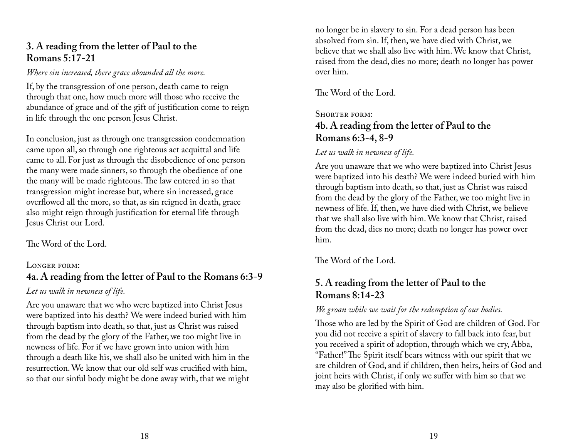# **3. A reading from the letter of Paul to the Romans 5:17-21**

#### *Where sin increased, there grace abounded all the more.*

If, by the transgression of one person, death came to reign through that one, how much more will those who receive the abundance of grace and of the gift of justification come to reign in life through the one person Jesus Christ.

In conclusion, just as through one transgression condemnation came upon all, so through one righteous act acquittal and life came to all. For just as through the disobedience of one person the many were made sinners, so through the obedience of one the many will be made righteous. The law entered in so that transgression might increase but, where sin increased, grace overflowed all the more, so that, as sin reigned in death, grace also might reign through justification for eternal life through Jesus Christ our Lord.

The Word of the Lord.

#### Longer form:

# **4a. A reading from the letter of Paul to the Romans 6:3-9**

#### *Let us walk in newness of life.*

Are you unaware that we who were baptized into Christ Jesus were baptized into his death? We were indeed buried with him through baptism into death, so that, just as Christ was raised from the dead by the glory of the Father, we too might live in newness of life. For if we have grown into union with him through a death like his, we shall also be united with him in the resurrection. We know that our old self was crucified with him, so that our sinful body might be done away with, that we might no longer be in slavery to sin. For a dead person has been absolved from sin. If, then, we have died with Christ, we believe that we shall also live with him. We know that Christ, raised from the dead, dies no more; death no longer has power over him.

The Word of the Lord.

#### SHORTER FORM:

## **4b. A reading from the letter of Paul to the Romans 6:3-4, 8-9**

#### *Let us walk in newness of life.*

Are you unaware that we who were baptized into Christ Jesus were baptized into his death? We were indeed buried with him through baptism into death, so that, just as Christ was raised from the dead by the glory of the Father, we too might live in newness of life. If, then, we have died with Christ, we believe that we shall also live with him. We know that Christ, raised from the dead, dies no more; death no longer has power over him.

The Word of the Lord.

# **5. A reading from the letter of Paul to the Romans 8:14-23**

### *We groan while we wait for the redemption of our bodies.*

Those who are led by the Spirit of God are children of God. For you did not receive a spirit of slavery to fall back into fear, but you received a spirit of adoption, through which we cry, Abba, "Father!" The Spirit itself bears witness with our spirit that we are children of God, and if children, then heirs, heirs of God and joint heirs with Christ, if only we suffer with him so that we may also be glorified with him.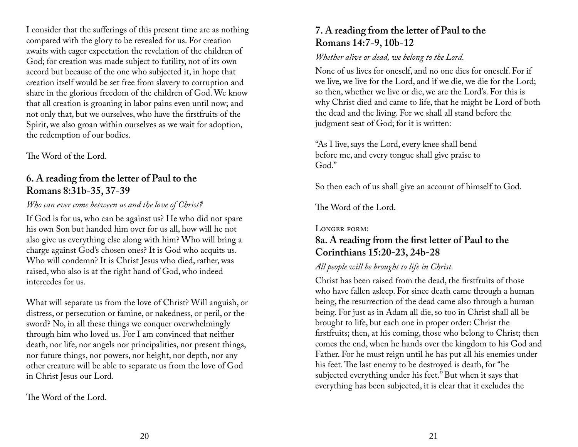I consider that the sufferings of this present time are as nothing compared with the glory to be revealed for us. For creation awaits with eager expectation the revelation of the children of God; for creation was made subject to futility, not of its own accord but because of the one who subjected it, in hope that creation itself would be set free from slavery to corruption and share in the glorious freedom of the children of God. We know that all creation is groaning in labor pains even until now; and not only that, but we ourselves, who have the firstfruits of the Spirit, we also groan within ourselves as we wait for adoption, the redemption of our bodies.

The Word of the Lord.

### **6. A reading from the letter of Paul to the Romans 8:31b-35, 37-39**

### *Who can ever come between us and the love of Christ?*

If God is for us, who can be against us? He who did not spare his own Son but handed him over for us all, how will he not also give us everything else along with him? Who will bring a charge against God's chosen ones? It is God who acquits us. Who will condemn? It is Christ Jesus who died, rather, was raised, who also is at the right hand of God, who indeed intercedes for us.

What will separate us from the love of Christ? Will anguish, or distress, or persecution or famine, or nakedness, or peril, or the sword? No, in all these things we conquer overwhelmingly through him who loved us. For I am convinced that neither death, nor life, nor angels nor principalities, nor present things, nor future things, nor powers, nor height, nor depth, nor any other creature will be able to separate us from the love of God in Christ Jesus our Lord.

The Word of the Lord.

### **7. A reading from the letter of Paul to the Romans 14:7-9, 10b-12**

*Whether alive or dead, we belong to the Lord.*

None of us lives for oneself, and no one dies for oneself. For if we live, we live for the Lord, and if we die, we die for the Lord; so then, whether we live or die, we are the Lord's. For this is why Christ died and came to life, that he might be Lord of both the dead and the living. For we shall all stand before the judgment seat of God; for it is written:

"As I live, says the Lord, every knee shall bend before me, and every tongue shall give praise to God."

So then each of us shall give an account of himself to God.

The Word of the Lord.

# LONGER FORM:

### **8a. A reading from the first letter of Paul to the Corinthians 15:20-23, 24b-28**

### *All people will be brought to life in Christ.*

Christ has been raised from the dead, the firstfruits of those who have fallen asleep. For since death came through a human being, the resurrection of the dead came also through a human being. For just as in Adam all die, so too in Christ shall all be brought to life, but each one in proper order: Christ the firstfruits; then, at his coming, those who belong to Christ; then comes the end, when he hands over the kingdom to his God and Father. For he must reign until he has put all his enemies under his feet. The last enemy to be destroyed is death, for "he subjected everything under his feet." But when it says that everything has been subjected, it is clear that it excludes the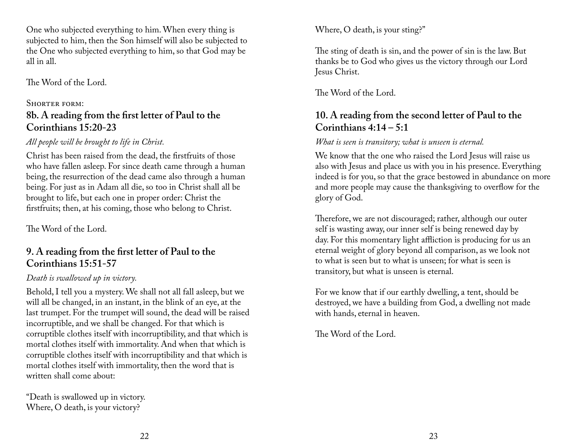One who subjected everything to him. When every thing is subjected to him, then the Son himself will also be subjected to the One who subjected everything to him, so that God may be all in all.

The Word of the Lord.

### SHORTER FORM:

# **8b. A reading from the first letter of Paul to the Corinthians 15:20-23**

### *All people will be brought to life in Christ.*

Christ has been raised from the dead, the firstfruits of those who have fallen asleep. For since death came through a human being, the resurrection of the dead came also through a human being. For just as in Adam all die, so too in Christ shall all be brought to life, but each one in proper order: Christ the firstfruits; then, at his coming, those who belong to Christ.

The Word of the Lord.

# **9. A reading from the first letter of Paul to the Corinthians 15:51-57**

### *Death is swallowed up in victory.*

Behold, I tell you a mystery. We shall not all fall asleep, but we will all be changed, in an instant, in the blink of an eye, at the last trumpet. For the trumpet will sound, the dead will be raised incorruptible, and we shall be changed. For that which is corruptible clothes itself with incorruptibility, and that which is mortal clothes itself with immortality. And when that which is corruptible clothes itself with incorruptibility and that which is mortal clothes itself with immortality, then the word that is written shall come about:

"Death is swallowed up in victory. Where, O death, is your victory?

Where, O death, is your sting?"

The sting of death is sin, and the power of sin is the law. But thanks be to God who gives us the victory through our Lord Jesus Christ.

The Word of the Lord.

## **10. A reading from the second letter of Paul to the Corinthians 4:14 – 5:1**

### *What is seen is transitory; what is unseen is eternal.*

We know that the one who raised the Lord Jesus will raise us also with Jesus and place us with you in his presence. Everything indeed is for you, so that the grace bestowed in abundance on more and more people may cause the thanksgiving to overflow for the glory of God.

Therefore, we are not discouraged; rather, although our outer self is wasting away, our inner self is being renewed day by day. For this momentary light affliction is producing for us an eternal weight of glory beyond all comparison, as we look not to what is seen but to what is unseen; for what is seen is transitory, but what is unseen is eternal.

For we know that if our earthly dwelling, a tent, should be destroyed, we have a building from God, a dwelling not made with hands, eternal in heaven.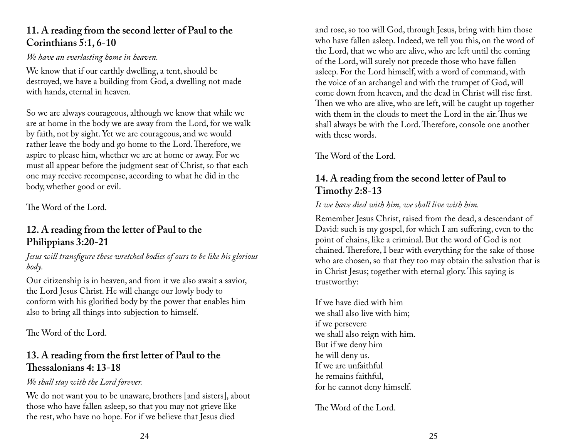### **11. A reading from the second letter of Paul to the Corinthians 5:1, 6-10**

*We have an everlasting home in heaven.*

We know that if our earthly dwelling, a tent, should be destroyed, we have a building from God, a dwelling not made with hands, eternal in heaven.

So we are always courageous, although we know that while we are at home in the body we are away from the Lord, for we walk by faith, not by sight. Yet we are courageous, and we would rather leave the body and go home to the Lord. Therefore, we aspire to please him, whether we are at home or away. For we must all appear before the judgment seat of Christ, so that each one may receive recompense, according to what he did in the body, whether good or evil.

The Word of the Lord.

## **12. A reading from the letter of Paul to the Philippians 3:20-21**

*Jesus will transfigure these wretched bodies of ours to be like his glorious body.*

Our citizenship is in heaven, and from it we also await a savior, the Lord Jesus Christ. He will change our lowly body to conform with his glorified body by the power that enables him also to bring all things into subjection to himself.

The Word of the Lord.

## **13. A reading from the first letter of Paul to the Thessalonians 4: 13-18**

### *We shall stay with the Lord forever.*

We do not want you to be unaware, brothers [and sisters], about those who have fallen asleep, so that you may not grieve like the rest, who have no hope. For if we believe that Jesus died

and rose, so too will God, through Jesus, bring with him those who have fallen asleep. Indeed, we tell you this, on the word of the Lord, that we who are alive, who are left until the coming of the Lord, will surely not precede those who have fallen asleep. For the Lord himself, with a word of command, with the voice of an archangel and with the trumpet of God, will come down from heaven, and the dead in Christ will rise first. Then we who are alive, who are left, will be caught up together with them in the clouds to meet the Lord in the air. Thus we shall always be with the Lord. Therefore, console one another with these words.

The Word of the Lord.

# **14. A reading from the second letter of Paul to Timothy 2:8-13**

### *It we have died with him, we shall live with him.*

Remember Jesus Christ, raised from the dead, a descendant of David: such is my gospel, for which I am suffering, even to the point of chains, like a criminal. But the word of God is not chained. Therefore, I bear with everything for the sake of those who are chosen, so that they too may obtain the salvation that is in Christ Jesus; together with eternal glory. This saying is trustworthy:

If we have died with him we shall also live with him; if we persevere we shall also reign with him. But if we deny him he will deny us. If we are unfaithful he remains faithful, for he cannot deny himself.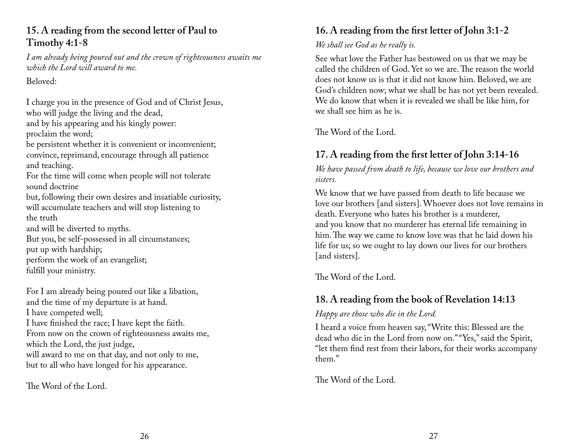### **15. A reading from the second letter of Paul to Timothy 4:1-8**

*I am already being poured out and the crown of righteousness awaits me which the Lord will award to me.*

Beloved:

I charge you in the presence of God and of Christ Jesus, who will judge the living and the dead, and by his appearing and his kingly power: proclaim the word; be persistent whether it is convenient or inconvenient; convince, reprimand, encourage through all patience and teaching. For the time will come when people will not tolerate sound doctrine but, following their own desires and insatiable curiosity, will accumulate teachers and will stop listening to the truth and will be diverted to myths. But you, be self-possessed in all circumstances; put up with hardship; perform the work of an evangelist;

fulfill your ministry.

For I am already being poured out like a libation, and the time of my departure is at hand. I have competed well; I have finished the race; I have kept the faith. From now on the crown of righteousness awaits me, which the Lord, the just judge, will award to me on that day, and not only to me, but to all who have longed for his appearance.

The Word of the Lord.

# **16. A reading from the first letter of John 3:1-2**

*We shall see God as he really is.*

See what love the Father has bestowed on us that we may be called the children of God. Yet so we are. The reason the world does not know us is that it did not know him. Beloved, we are God's children now; what we shall be has not yet been revealed. We do know that when it is revealed we shall be like him, for we shall see him as he is.

The Word of the Lord.

# **17. A reading from the first letter of John 3:14-16**

*We have passed from death to life, because we love our brothers and sisters.*

We know that we have passed from death to life because we love our brothers [and sisters]. Whoever does not love remains in death. Everyone who hates his brother is a murderer, and you know that no murderer has eternal life remaining in him. The way we came to know love was that he laid down his life for us; so we ought to lay down our lives for our brothers [and sisters].

The Word of the Lord.

## **18. A reading from the book of Revelation 14:13**

#### *Happy are those who die in the Lord.*

I heard a voice from heaven say, "Write this: Blessed are the dead who die in the Lord from now on." "Yes," said the Spirit, "let them find rest from their labors, for their works accompany them."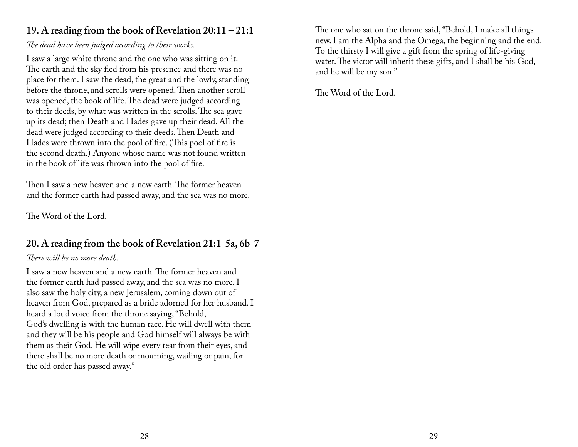### **19. A reading from the book of Revelation 20:11 – 21:1**

### *The dead have been judged according to their works.*

I saw a large white throne and the one who was sitting on it. The earth and the sky fled from his presence and there was no place for them. I saw the dead, the great and the lowly, standing before the throne, and scrolls were opened. Then another scroll was opened, the book of life. The dead were judged according to their deeds, by what was written in the scrolls. The sea gave up its dead; then Death and Hades gave up their dead. All the dead were judged according to their deeds. Then Death and Hades were thrown into the pool of fire. (This pool of fire is the second death.) Anyone whose name was not found written in the book of life was thrown into the pool of fire.

Then I saw a new heaven and a new earth. The former heaven and the former earth had passed away, and the sea was no more.

The Word of the Lord.

### **20. A reading from the book of Revelation 21:1-5a, 6b-7**

#### *There will be no more death.*

I saw a new heaven and a new earth. The former heaven and the former earth had passed away, and the sea was no more. I also saw the holy city, a new Jerusalem, coming down out of heaven from God, prepared as a bride adorned for her husband. I heard a loud voice from the throne saying, "Behold, God's dwelling is with the human race. He will dwell with them and they will be his people and God himself will always be with them as their God. He will wipe every tear from their eyes, and there shall be no more death or mourning, wailing or pain, for the old order has passed away."

The one who sat on the throne said, "Behold, I make all things new. I am the Alpha and the Omega, the beginning and the end. To the thirsty I will give a gift from the spring of life-giving water. The victor will inherit these gifts, and I shall be his God, and he will be my son."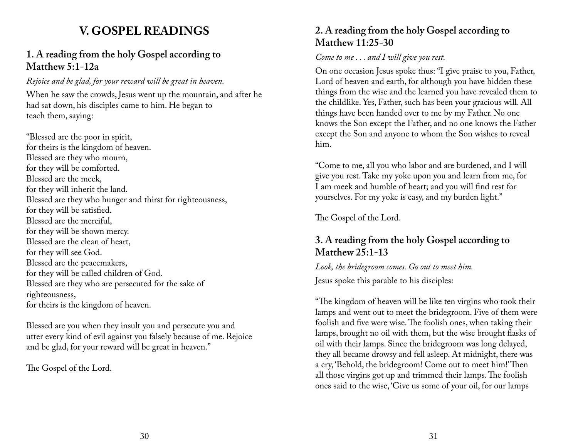# **V. GOSPEL READINGS**

## **1. A reading from the holy Gospel according to Matthew 5:1-12a**

*Rejoice and be glad, for your reward will be great in heaven.*

When he saw the crowds, Jesus went up the mountain, and after he had sat down, his disciples came to him. He began to teach them, saying:

"Blessed are the poor in spirit, for theirs is the kingdom of heaven. Blessed are they who mourn, for they will be comforted. Blessed are the meek, for they will inherit the land. Blessed are they who hunger and thirst for righteousness, for they will be satisfied. Blessed are the merciful, for they will be shown mercy. Blessed are the clean of heart, for they will see God. Blessed are the peacemakers, for they will be called children of God. Blessed are they who are persecuted for the sake of righteousness, for theirs is the kingdom of heaven.

Blessed are you when they insult you and persecute you and utter every kind of evil against you falsely because of me. Rejoice and be glad, for your reward will be great in heaven."

The Gospel of the Lord.

### **2. A reading from the holy Gospel according to Matthew 11:25-30**

*Come to me . . . and I will give you rest.*

On one occasion Jesus spoke thus: "I give praise to you, Father, Lord of heaven and earth, for although you have hidden these things from the wise and the learned you have revealed them to the childlike. Yes, Father, such has been your gracious will. All things have been handed over to me by my Father. No one knows the Son except the Father, and no one knows the Father except the Son and anyone to whom the Son wishes to reveal him.

"Come to me, all you who labor and are burdened, and I will give you rest. Take my yoke upon you and learn from me, for I am meek and humble of heart; and you will find rest for yourselves. For my yoke is easy, and my burden light."

The Gospel of the Lord.

## **3. A reading from the holy Gospel according to Matthew 25:1-13**

*Look, the bridegroom comes. Go out to meet him.* Jesus spoke this parable to his disciples:

"The kingdom of heaven will be like ten virgins who took their lamps and went out to meet the bridegroom. Five of them were foolish and five were wise. The foolish ones, when taking their lamps, brought no oil with them, but the wise brought flasks of oil with their lamps. Since the bridegroom was long delayed, they all became drowsy and fell asleep. At midnight, there was a cry, 'Behold, the bridegroom! Come out to meet him!' Then all those virgins got up and trimmed their lamps. The foolish ones said to the wise, 'Give us some of your oil, for our lamps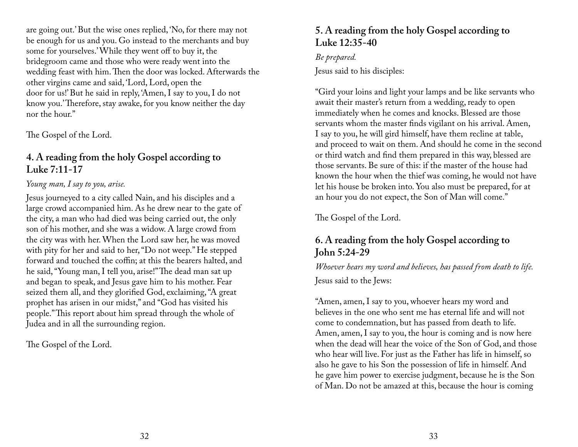are going out.' But the wise ones replied, 'No, for there may not be enough for us and you. Go instead to the merchants and buy some for yourselves.' While they went off to buy it, the bridegroom came and those who were ready went into the wedding feast with him. Then the door was locked. Afterwards the other virgins came and said, 'Lord, Lord, open the door for us!' But he said in reply, 'Amen, I say to you, I do not know you.' Therefore, stay awake, for you know neither the day nor the hour."

The Gospel of the Lord.

## **4. A reading from the holy Gospel according to Luke 7:11-17**

#### *Young man, I say to you, arise.*

Jesus journeyed to a city called Nain, and his disciples and a large crowd accompanied him. As he drew near to the gate of the city, a man who had died was being carried out, the only son of his mother, and she was a widow. A large crowd from the city was with her. When the Lord saw her, he was moved with pity for her and said to her, "Do not weep." He stepped forward and touched the coffin; at this the bearers halted, and he said, "Young man, I tell you, arise!" The dead man sat up and began to speak, and Jesus gave him to his mother. Fear seized them all, and they glorified God, exclaiming, "A great prophet has arisen in our midst," and "God has visited his people." This report about him spread through the whole of Judea and in all the surrounding region.

The Gospel of the Lord.

### **5. A reading from the holy Gospel according to Luke 12:35-40**

#### *Be prepared.*

Jesus said to his disciples:

"Gird your loins and light your lamps and be like servants who await their master's return from a wedding, ready to open immediately when he comes and knocks. Blessed are those servants whom the master finds vigilant on his arrival. Amen, I say to you, he will gird himself, have them recline at table, and proceed to wait on them. And should he come in the second or third watch and find them prepared in this way, blessed are those servants. Be sure of this: if the master of the house had known the hour when the thief was coming, he would not have let his house be broken into. You also must be prepared, for at an hour you do not expect, the Son of Man will come."

The Gospel of the Lord.

### **6. A reading from the holy Gospel according to John 5:24-29**

*Whoever hears my word and believes, has passed from death to life.* Jesus said to the Jews:

"Amen, amen, I say to you, whoever hears my word and believes in the one who sent me has eternal life and will not come to condemnation, but has passed from death to life. Amen, amen, I say to you, the hour is coming and is now here when the dead will hear the voice of the Son of God, and those who hear will live. For just as the Father has life in himself, so also he gave to his Son the possession of life in himself. And he gave him power to exercise judgment, because he is the Son of Man. Do not be amazed at this, because the hour is coming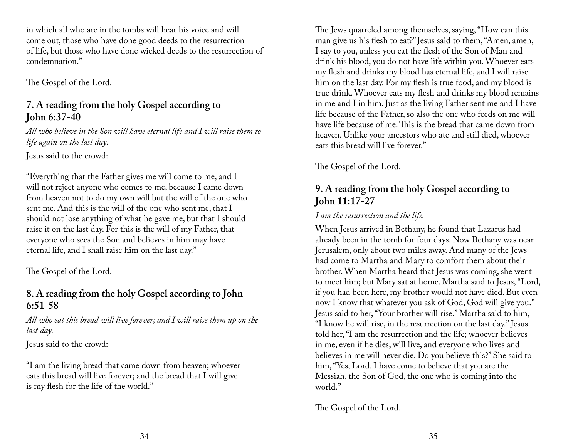in which all who are in the tombs will hear his voice and will come out, those who have done good deeds to the resurrection of life, but those who have done wicked deeds to the resurrection of condemnation."

The Gospel of the Lord.

### **7. A reading from the holy Gospel according to John 6:37-40**

*All who believe in the Son will have eternal life and I will raise them to life again on the last day.*

Jesus said to the crowd:

"Everything that the Father gives me will come to me, and I will not reject anyone who comes to me, because I came down from heaven not to do my own will but the will of the one who sent me. And this is the will of the one who sent me, that I should not lose anything of what he gave me, but that I should raise it on the last day. For this is the will of my Father, that everyone who sees the Son and believes in him may have eternal life, and I shall raise him on the last day."

The Gospel of the Lord.

### **8. A reading from the holy Gospel according to John 6:51-58**

*All who eat this bread will live forever; and I will raise them up on the last day.*

Jesus said to the crowd:

"I am the living bread that came down from heaven; whoever eats this bread will live forever; and the bread that I will give is my flesh for the life of the world."

The Jews quarreled among themselves, saying, "How can this man give us his flesh to eat?" Jesus said to them, "Amen, amen, I say to you, unless you eat the flesh of the Son of Man and drink his blood, you do not have life within you. Whoever eats my flesh and drinks my blood has eternal life, and I will raise him on the last day. For my flesh is true food, and my blood is true drink. Whoever eats my flesh and drinks my blood remains in me and I in him. Just as the living Father sent me and I have life because of the Father, so also the one who feeds on me will have life because of me. This is the bread that came down from heaven. Unlike your ancestors who ate and still died, whoever eats this bread will live forever."

The Gospel of the Lord.

## **9. A reading from the holy Gospel according to John 11:17-27**

### *I am the resurrection and the life.*

When Jesus arrived in Bethany, he found that Lazarus had already been in the tomb for four days. Now Bethany was near Jerusalem, only about two miles away. And many of the Jews had come to Martha and Mary to comfort them about their brother. When Martha heard that Jesus was coming, she went to meet him; but Mary sat at home. Martha said to Jesus, "Lord, if you had been here, my brother would not have died. But even now I know that whatever you ask of God, God will give you." Jesus said to her, "Your brother will rise." Martha said to him, "I know he will rise, in the resurrection on the last day." Jesus told her, "I am the resurrection and the life; whoever believes in me, even if he dies, will live, and everyone who lives and believes in me will never die. Do you believe this?" She said to him, "Yes, Lord. I have come to believe that you are the Messiah, the Son of God, the one who is coming into the world."

The Gospel of the Lord.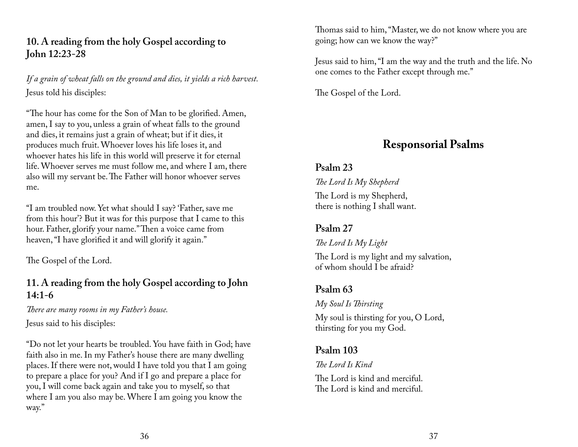## **10. A reading from the holy Gospel according to John 12:23-28**

*If a grain of wheat falls on the ground and dies, it yields a rich harvest.* Jesus told his disciples:

"The hour has come for the Son of Man to be glorified. Amen, amen, I say to you, unless a grain of wheat falls to the ground and dies, it remains just a grain of wheat; but if it dies, it produces much fruit. Whoever loves his life loses it, and whoever hates his life in this world will preserve it for eternal life. Whoever serves me must follow me, and where I am, there also will my servant be. The Father will honor whoever serves me.

"I am troubled now. Yet what should I say? 'Father, save me from this hour'? But it was for this purpose that I came to this hour. Father, glorify your name." Then a voice came from heaven, "I have glorified it and will glorify it again."

The Gospel of the Lord.

### **11. A reading from the holy Gospel according to John 14:1-6**

*There are many rooms in my Father's house.* Jesus said to his disciples:

"Do not let your hearts be troubled. You have faith in God; have faith also in me. In my Father's house there are many dwelling places. If there were not, would I have told you that I am going to prepare a place for you? And if I go and prepare a place for you, I will come back again and take you to myself, so that where I am you also may be. Where I am going you know the way."

Thomas said to him, "Master, we do not know where you are going; how can we know the way?"

Jesus said to him, "I am the way and the truth and the life. No one comes to the Father except through me."

The Gospel of the Lord.

# **Responsorial Psalms**

### **Psalm 23**

*The Lord Is My Shepherd* The Lord is my Shepherd, there is nothing I shall want.

# **Psalm 27**

*The Lord Is My Light* The Lord is my light and my salvation, of whom should I be afraid?

# **Psalm 63**

*My Soul Is Thirsting* My soul is thirsting for you, O Lord, thirsting for you my God.

# **Psalm 103**

*The Lord Is Kind*

The Lord is kind and merciful. The Lord is kind and merciful.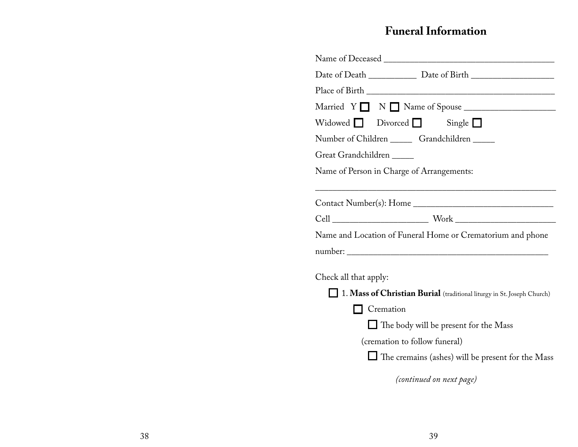# **Funeral Information**

| Married Y N N Name of Spouse                                           |  |  |  |  |
|------------------------------------------------------------------------|--|--|--|--|
| Widowed Divorced Single                                                |  |  |  |  |
| Number of Children _______ Grandchildren ______                        |  |  |  |  |
| Great Grandchildren                                                    |  |  |  |  |
| Name of Person in Charge of Arrangements:                              |  |  |  |  |
|                                                                        |  |  |  |  |
|                                                                        |  |  |  |  |
|                                                                        |  |  |  |  |
| Name and Location of Funeral Home or Crematorium and phone             |  |  |  |  |
|                                                                        |  |  |  |  |
|                                                                        |  |  |  |  |
| Check all that apply:                                                  |  |  |  |  |
| 1. Mass of Christian Burial (traditional liturgy in St. Joseph Church) |  |  |  |  |
| $\Box$ Cremation                                                       |  |  |  |  |
| $\Box$ The body will be present for the Mass                           |  |  |  |  |
| (cremation to follow funeral)                                          |  |  |  |  |
| The cremains (ashes) will be present for the Mass                      |  |  |  |  |
| (continued on next page)                                               |  |  |  |  |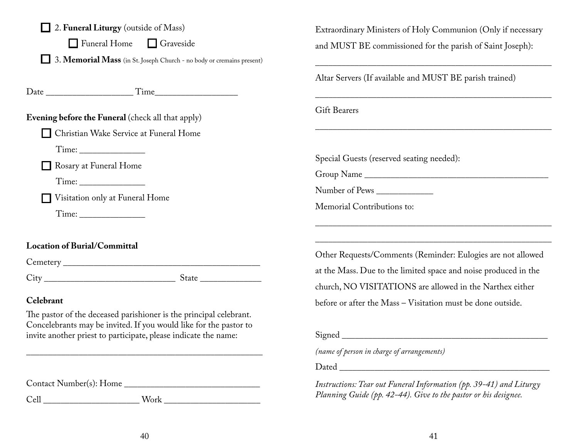2. **Funeral Liturgy** (outside of Mass)  $\Box$ 

Funeral Home Graveside

3. **Memorial Mass** (in St. Joseph Church - no body or cremains present)

Date \_\_\_\_\_\_\_\_\_\_\_\_\_\_\_\_\_\_\_\_ Time\_\_\_\_\_\_\_\_\_\_\_\_\_\_\_\_\_\_\_

**Evening before the Funeral** (check all that apply)

Christian Wake Service at Funeral Home

Time: \_\_\_\_\_\_\_\_\_\_\_\_\_\_\_

Rosary at Funeral Home

Time:

Visitation only at Funeral Home

Time: \_\_\_\_\_\_\_\_\_\_\_\_\_\_\_

#### **Location of Burial/Committal**

Cemetery \_\_\_\_\_\_\_\_\_\_\_\_\_\_\_\_\_\_\_\_\_\_\_\_\_\_\_\_\_\_\_\_\_\_\_\_\_\_\_\_\_\_\_\_\_

City State

### **Celebrant**

The pastor of the deceased parishioner is the principal celebrant. Concelebrants may be invited. If you would like for the pastor to invite another priest to participate, please indicate the name:

\_\_\_\_\_\_\_\_\_\_\_\_\_\_\_\_\_\_\_\_\_\_\_\_\_\_\_\_\_\_\_\_\_\_\_\_\_\_\_\_\_\_\_\_\_\_\_\_\_\_\_\_\_\_

Contact Number(s): Home \_\_\_\_\_\_\_\_\_\_\_\_\_\_\_\_\_\_\_\_\_\_\_\_\_\_\_\_\_\_\_

Cell Work Lowest Contains the Containing Section 1 and 2 and 2 and 2 and 2 and 2 and 2 and 2 and 2 and 2 and 2 and 2 and 2 and 2 and 2 and 2 and 2 and 2 and 2 and 2 and 2 and 2 and 2 and 2 and 2 and 2 and 2 and 2 and 2 and

Extraordinary Ministers of Holy Communion (Only if necessary and MUST BE commissioned for the parish of Saint Joseph):

\_\_\_\_\_\_\_\_\_\_\_\_\_\_\_\_\_\_\_\_\_\_\_\_\_\_\_\_\_\_\_\_\_\_\_\_\_\_\_\_\_\_\_\_\_\_\_\_\_\_\_\_\_\_

\_\_\_\_\_\_\_\_\_\_\_\_\_\_\_\_\_\_\_\_\_\_\_\_\_\_\_\_\_\_\_\_\_\_\_\_\_\_\_\_\_\_\_\_\_\_\_\_\_\_\_\_\_\_

Altar Servers (If available and MUST BE parish trained)

Gift Bearers

Special Guests (reserved seating needed):

Group Name \_\_\_\_\_\_\_\_\_\_\_\_\_\_\_\_\_\_\_\_\_\_\_\_\_\_\_\_\_\_\_\_\_\_\_\_\_\_\_\_\_\_

Number of Pews \_\_\_\_\_\_\_\_\_\_\_\_\_

Memorial Contributions to:

Other Requests/Comments (Reminder: Eulogies are not allowed at the Mass. Due to the limited space and noise produced in the church, NO VISITATIONS are allowed in the Narthex either before or after the Mass – Visitation must be done outside.

\_\_\_\_\_\_\_\_\_\_\_\_\_\_\_\_\_\_\_\_\_\_\_\_\_\_\_\_\_\_\_\_\_\_\_\_\_\_\_\_\_\_\_\_\_\_\_\_\_\_\_\_\_\_

 ${\rm Signal}$ 

*(name of person in charge of arrangements)*

Dated \_\_\_\_\_\_\_\_\_\_\_\_\_\_\_\_\_\_\_\_\_\_\_\_\_\_\_\_\_\_\_\_\_\_\_\_\_\_\_\_\_\_\_\_\_\_\_\_

*Instructions: Tear out Funeral Information (pp. 39-41) and Liturgy Planning Guide (pp. 42-44). Give to the pastor or his designee.*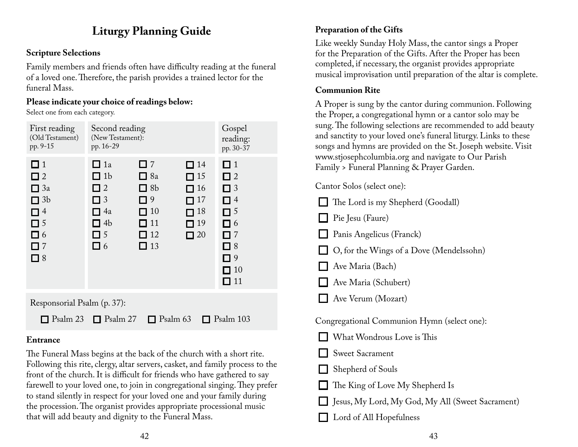# **Liturgy Planning Guide**

### **Scripture Selections**

Family members and friends often have difficulty reading at the funeral of a loved one. Therefore, the parish provides a trained lector for the funeral Mass.

### **Please indicate your choice of readings below:**

Select one from each category.

| First reading<br>(Old Testament)<br>pp. 9-15                                                               | Second reading<br>(New Testament):<br>pp. 16-29                                                  |                                                                                                    |                                                                                         | Gospel<br>reading:<br>pp. 30-37                                                                                                      |  |
|------------------------------------------------------------------------------------------------------------|--------------------------------------------------------------------------------------------------|----------------------------------------------------------------------------------------------------|-----------------------------------------------------------------------------------------|--------------------------------------------------------------------------------------------------------------------------------------|--|
| $\Box$ 1<br>$\Box$ 2<br>$\Box$ 3a<br>$\Box$ 3b<br>$\Box$ 4<br>$\Box$ 5<br>$\Box$ 6<br>$\Box$ 7<br>$\Box$ 8 | $\Box$ 1a<br>$\Box$ 1b<br>$\Box$ 2<br>$\Box$ 3<br>$\Box$ 4a<br>$\Box$ 4b<br>$\Box$ 5<br>$\Box$ 6 | $\Box$ 7<br>$\Box$ 8a<br>$\Box$ 8b<br>$\Box$ 9<br>$\Box$ 10<br>$\Box$ 11<br>$\Box$ 12<br>$\Box$ 13 | $\Box$ 14<br>$\Box$ 15<br>$\Box$ 16<br>$\Box$ 17<br>$\Box$ 18<br>$\Box$ 19<br>$\Box$ 20 | $\Box$ 1<br>$\Box$ 2<br>$\Box$ 3<br>$\Box$ 4<br>$\Box$ 5<br><b>N</b> 6<br>$\Box$ 7<br>$\Box$ 8<br>$\Box$ 9<br>$\Box$ 10<br>$\Box$ 11 |  |
| Responsorial Psalm (p. 37):<br>$\Box$ Psalm 23 $\Box$ Psalm 27 $\Box$ Psalm 63<br>$\Box$ Psalm 103         |                                                                                                  |                                                                                                    |                                                                                         |                                                                                                                                      |  |

#### **Entrance**

The Funeral Mass begins at the back of the church with a short rite. Following this rite, clergy, altar servers, casket, and family process to the front of the church. It is difficult for friends who have gathered to say farewell to your loved one, to join in congregational singing. They prefer to stand silently in respect for your loved one and your family during the procession. The organist provides appropriate processional music that will add beauty and dignity to the Funeral Mass.

### **Preparation of the Gifts**

Like weekly Sunday Holy Mass, the cantor sings a Proper for the Preparation of the Gifts. After the Proper has been completed, if necessary, the organist provides appropriate musical improvisation until preparation of the altar is complete.

### **Communion Rite**

A Proper is sung by the cantor during communion. Following the Proper, a congregational hymn or a cantor solo may be sung. The following selections are recommended to add beauty and sanctity to your loved one's funeral liturgy. Links to these songs and hymns are provided on the St. Joseph website. Visit www.stjosephcolumbia.org and navigate to Our Parish Family > Funeral Planning & Prayer Garden.

Cantor Solos (select one):

 $\Box$  The Lord is my Shepherd (Goodall)

- Pie Jesu (Faure)
- Panis Angelicus (Franck)
- O, for the Wings of a Dove (Mendelssohn)
- Ave Maria (Bach)
- Ave Maria (Schubert)
- Ave Verum (Mozart)

Congregational Communion Hymn (select one):

- What Wondrous Love is This
- Sweet Sacrament
- Shepherd of Souls
- The King of Love My Shepherd Is
- Jesus, My Lord, My God, My All (Sweet Sacrament)

**Lord of All Hopefulness**